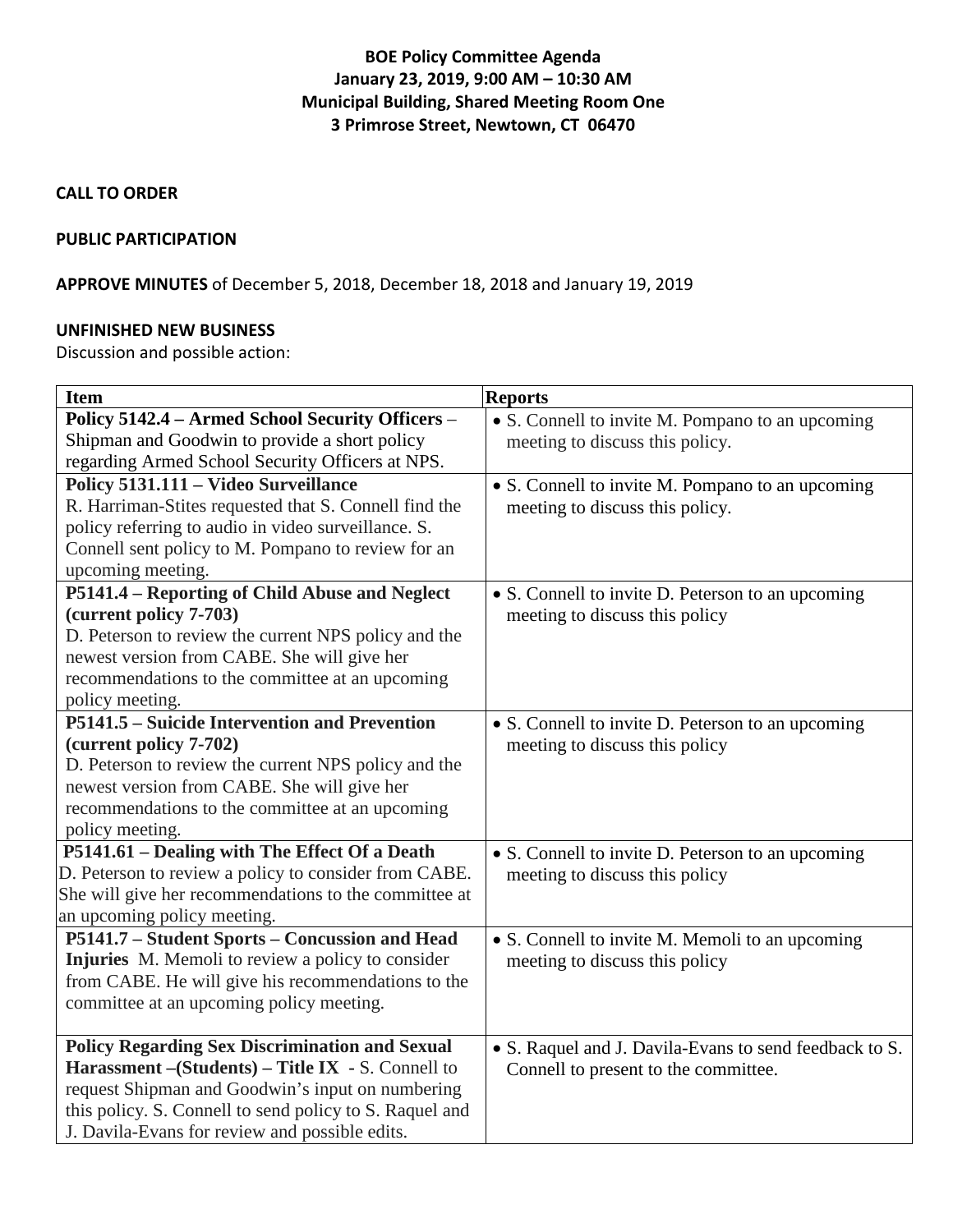# **BOE Policy Committee Agenda January 23, 2019, 9:00 AM – 10:30 AM Municipal Building, Shared Meeting Room One 3 Primrose Street, Newtown, CT 06470**

### **CALL TO ORDER**

### **PUBLIC PARTICIPATION**

**APPROVE MINUTES** of December 5, 2018, December 18, 2018 and January 19, 2019

### **UNFINISHED NEW BUSINESS**

Discussion and possible action:

| <b>Item</b>                                             | <b>Reports</b>                                         |
|---------------------------------------------------------|--------------------------------------------------------|
| Policy 5142.4 - Armed School Security Officers -        | • S. Connell to invite M. Pompano to an upcoming       |
| Shipman and Goodwin to provide a short policy           | meeting to discuss this policy.                        |
| regarding Armed School Security Officers at NPS.        |                                                        |
| Policy 5131.111 - Video Surveillance                    | • S. Connell to invite M. Pompano to an upcoming       |
| R. Harriman-Stites requested that S. Connell find the   | meeting to discuss this policy.                        |
| policy referring to audio in video surveillance. S.     |                                                        |
| Connell sent policy to M. Pompano to review for an      |                                                        |
| upcoming meeting.                                       |                                                        |
| P5141.4 - Reporting of Child Abuse and Neglect          | • S. Connell to invite D. Peterson to an upcoming      |
| (current policy 7-703)                                  | meeting to discuss this policy                         |
| D. Peterson to review the current NPS policy and the    |                                                        |
| newest version from CABE. She will give her             |                                                        |
| recommendations to the committee at an upcoming         |                                                        |
| policy meeting.                                         |                                                        |
| P5141.5 – Suicide Intervention and Prevention           | • S. Connell to invite D. Peterson to an upcoming      |
| (current policy 7-702)                                  | meeting to discuss this policy                         |
| D. Peterson to review the current NPS policy and the    |                                                        |
| newest version from CABE. She will give her             |                                                        |
| recommendations to the committee at an upcoming         |                                                        |
| policy meeting.                                         |                                                        |
| P5141.61 - Dealing with The Effect Of a Death           | • S. Connell to invite D. Peterson to an upcoming      |
| D. Peterson to review a policy to consider from CABE.   | meeting to discuss this policy                         |
| She will give her recommendations to the committee at   |                                                        |
| an upcoming policy meeting.                             |                                                        |
| P5141.7 - Student Sports - Concussion and Head          | • S. Connell to invite M. Memoli to an upcoming        |
| Injuries M. Memoli to review a policy to consider       | meeting to discuss this policy                         |
| from CABE. He will give his recommendations to the      |                                                        |
| committee at an upcoming policy meeting.                |                                                        |
|                                                         |                                                        |
| <b>Policy Regarding Sex Discrimination and Sexual</b>   | • S. Raquel and J. Davila-Evans to send feedback to S. |
| Harassment – (Students) – Title IX - S. Connell to      | Connell to present to the committee.                   |
| request Shipman and Goodwin's input on numbering        |                                                        |
| this policy. S. Connell to send policy to S. Raquel and |                                                        |
| J. Davila-Evans for review and possible edits.          |                                                        |